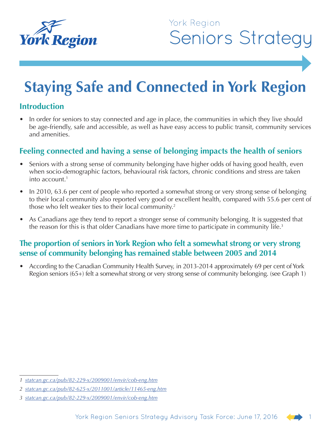

## York Region **Seniors Strategy**

# **Staying Safe and Connected in York Region**

#### **Introduction**

In order for seniors to stay connected and age in place, the communities in which they live should be age-friendly, safe and accessible, as well as have easy access to public transit, community services and amenities.

#### **Feeling connected and having a sense of belonging impacts the health of seniors**

- Seniors with a strong sense of community belonging have higher odds of having good health, even when socio-demographic factors, behavioural risk factors, chronic conditions and stress are taken into account.1
- In 2010, 63.6 per cent of people who reported a somewhat strong or very strong sense of belonging to their local community also reported very good or excellent health, compared with 55.6 per cent of those who felt weaker ties to their local community.<sup>2</sup>
- As Canadians age they tend to report a stronger sense of community belonging. It is suggested that the reason for this is that older Canadians have more time to participate in community life.<sup>3</sup>

#### **The proportion of seniors in York Region who felt a somewhat strong or very strong sense of community belonging has remained stable between 2005 and 2014**

• According to the Canadian Community Health Survey, in 2013-2014 approximately 69 per cent of York Region seniors (65+) felt a somewhat strong or very strong sense of community belonging. (see Graph 1)

*<sup>1</sup> [statcan.gc.ca/pub/82-229-x/2009001/envir/cob-eng.htm](http://www.statcan.gc.ca/pub/82-229-x/2009001/envir/cob-eng.htm)*

*<sup>2</sup> [statcan.gc.ca/pub/82-625-x/2011001/article/11465-eng.htm](http://www.statcan.gc.ca/pub/82-625-x/2011001/article/11465-eng.htm)*

*<sup>3</sup> [statcan.gc.ca/pub/82-229-x/2009001/envir/cob-eng.htm](http://www.statcan.gc.ca/pub/82-229-x/2009001/envir/cob-eng.htm)*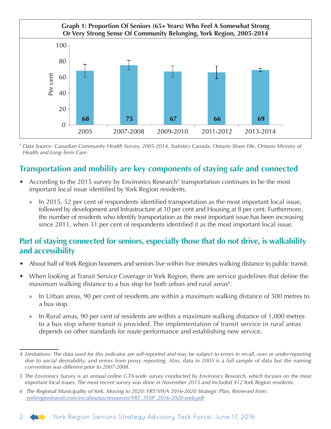

*<sup>4</sup> Data Source: Canadian Community Health Survey, 2005-2014, Statistics Canada, Ontario Share File, Ontario Ministry of Health and Long-Term Care.*

### **Transportation and mobility are key components of staying safe and connected**

- According to the 2015 survey by Environics Research<sup>5</sup> transportation continues to be the most important local issue identified by York Region residents.
	- » In 2015, 52 per cent of respondents identified transportation as the most important local issue, followed by development and Infrastructure at 10 per cent and Housing at 8 per cent. Furthermore, the number of residents who identify transportation as the most important issue has been increasing since 2011, when 31 per cent of respondents identified it as the most important local issue.

#### **Part of staying connected for seniors, especially those that do not drive, is walkability and accessibility**

- About half of York Region boomers and seniors live within five minutes walking distance to public transit.
- When looking at Transit Service Coverage in York Region, there are service guidelines that define the maximum walking distance to a bus stop for both urban and rural areas<sup>6</sup>.
	- » In Urban areas, 90 per cent of residents are within a maximum walking distance of 500 metres to a bus stop.
	- » In Rural areas, 90 per cent of residents are within a maximum walking distance of 1,000 metres to a bus stop where transit is provided. The implementation of transit service in rural areas depends on other standards for route performance and establishing new service.

*<sup>6</sup> The Regional Municipality of York, Moving to 2020: YRT/VIVA 2016-2020 Strategic Plan, Retrieved from: [yorkregiontransit.com/en/aboutus/resources/YRT\\_5YSP\\_2016-2020-web.pdf](http://www.yorkregiontransit.com/en/aboutus/resources/YRT_5YSP_2016-2020-web.pdf)*



*<sup>4</sup> Limitations: The data used for this indicator are self-reported and may be subject to errors in recall, over or under-reporting due to social desirability, and errors from proxy reporting. Also, data in 2005 is a full sample of data but the naming convention was different prior to 2007-2008.*

*<sup>5</sup> The Environics Survey is an annual online GTA-wide survey conducted by Environics Research, which focuses on the most important local issues. The most recent survey was done in November 2015 and included 412 York Region residents.*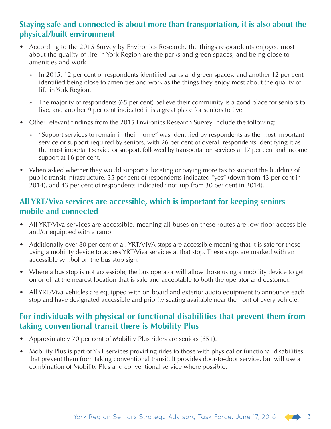#### **Staying safe and connected is about more than transportation, it is also about the physical/built environment**

- According to the 2015 Survey by Environics Research, the things respondents enjoyed most about the quality of life in York Region are the parks and green spaces, and being close to amenities and work.
	- » In 2015, 12 per cent of respondents identified parks and green spaces, and another 12 per cent identified being close to amenities and work as the things they enjoy most about the quality of life in York Region.
	- » The majority of respondents (65 per cent) believe their community is a good place for seniors to live, and another 9 per cent indicated it is a great place for seniors to live.
- Other relevant findings from the 2015 Environics Research Survey include the following:
	- » "Support services to remain in their home" was identified by respondents as the most important service or support required by seniors, with 26 per cent of overall respondents identifying it as the most important service or support, followed by transportation services at 17 per cent and income support at 16 per cent.
- When asked whether they would support allocating or paying more tax to support the building of public transit infrastructure, 35 per cent of respondents indicated "yes" (down from 43 per cent in 2014), and 43 per cent of respondents indicated "no" (up from 30 per cent in 2014).

#### **All YRT/Viva services are accessible, which is important for keeping seniors mobile and connected**

- All YRT/Viva services are accessible, meaning all buses on these routes are low-floor accessible and/or equipped with a ramp.
- Additionally over 80 per cent of all YRT/VIVA stops are accessible meaning that it is safe for those using a mobility device to access YRT/Viva services at that stop. These stops are marked with an accessible symbol on the bus stop sign.
- Where a bus stop is not accessible, the bus operator will allow those using a mobility device to get on or off at the nearest location that is safe and acceptable to both the operator and customer.
- All YRT/Viva vehicles are equipped with on-board and exterior audio equipment to announce each stop and have designated accessible and priority seating available near the front of every vehicle.

### **For individuals with physical or functional disabilities that prevent them from taking conventional transit there is Mobility Plus**

- Approximately 70 per cent of Mobility Plus riders are seniors (65+).
- Mobility Plus is part of YRT services providing rides to those with physical or functional disabilities that prevent them from taking conventional transit. It provides door-to-door service, but will use a combination of Mobility Plus and conventional service where possible.

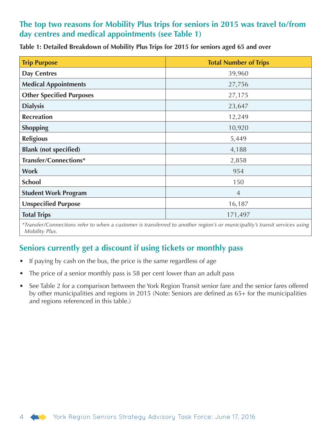#### **The top two reasons for Mobility Plus trips for seniors in 2015 was travel to/from day centres and medical appointments (see Table 1)**

| <b>Trip Purpose</b>             | <b>Total Number of Trips</b> |
|---------------------------------|------------------------------|
| <b>Day Centres</b>              | 39,960                       |
| <b>Medical Appointments</b>     | 27,756                       |
| <b>Other Specified Purposes</b> | 27,175                       |
| <b>Dialysis</b>                 | 23,647                       |
| <b>Recreation</b>               | 12,249                       |
| <b>Shopping</b>                 | 10,920                       |
| <b>Religious</b>                | 5,449                        |
| <b>Blank (not specified)</b>    | 4,188                        |
| Transfer/Connections*           | 2,858                        |
| <b>Work</b>                     | 954                          |
| <b>School</b>                   | 150                          |
| <b>Student Work Program</b>     | $\overline{4}$               |
| <b>Unspecified Purpose</b>      | 16,187                       |
| <b>Total Trips</b>              | 171,497                      |

*\*Transfer/Connections refer to when a customer is transferred to another region's or municipality's transit services using Mobility Plus.*

#### **Seniors currently get a discount if using tickets or monthly pass**

- If paying by cash on the bus, the price is the same regardless of age
- The price of a senior monthly pass is 58 per cent lower than an adult pass
- See Table 2 for a comparison between the York Region Transit senior fare and the senior fares offered by other municipalities and regions in 2015 (Note: Seniors are defined as 65+ for the municipalities and regions referenced in this table.)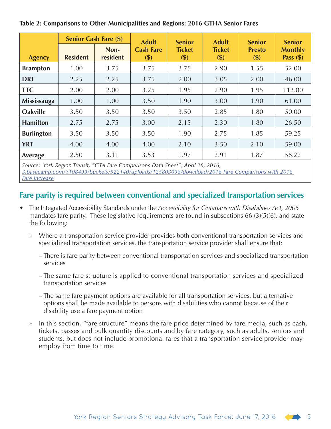|                   | <b>Senior Cash Fare (\$)</b> |                  | <b>Adult</b>            | <b>Senior</b>            | <b>Adult</b>         | <b>Senior</b>            | <b>Senior</b>                 |
|-------------------|------------------------------|------------------|-------------------------|--------------------------|----------------------|--------------------------|-------------------------------|
| <b>Agency</b>     | <b>Resident</b>              | Non-<br>resident | <b>Cash Fare</b><br>\$) | <b>Ticket</b><br>$($ \$) | <b>Ticket</b><br>\$) | <b>Presto</b><br>$($ \$) | <b>Monthly</b><br>Pass $(\$)$ |
| <b>Brampton</b>   | 1.00                         | 3.75             | 3.75                    | 3.75                     | 2.90                 | 1.55                     | 52.00                         |
| <b>DRT</b>        | 2.25                         | 2.25             | 3.75                    | 2.00                     | 3.05                 | 2.00                     | 46.00                         |
| <b>TTC</b>        | 2.00                         | 2.00             | 3.25                    | 1.95                     | 2.90                 | 1.95                     | 112.00                        |
| Mississauga       | 1.00                         | 1.00             | 3.50                    | 1.90                     | 3.00                 | 1.90                     | 61.00                         |
| <b>Oakville</b>   | 3.50                         | 3.50             | 3.50                    | 3.50                     | 2.85                 | 1.80                     | 50.00                         |
| <b>Hamilton</b>   | 2.75                         | 2.75             | 3.00                    | 2.15                     | 2.30                 | 1.80                     | 26.50                         |
| <b>Burlington</b> | 3.50                         | 3.50             | 3.50                    | 1.90                     | 2.75                 | 1.85                     | 59.25                         |
| <b>YRT</b>        | 4.00                         | 4.00             | 4.00                    | 2.10                     | 3.50                 | 2.10                     | 59.00                         |
| Average           | 2.50                         | 3.11             | 3.53                    | 1.97                     | 2.91                 | 1.87                     | 58.22                         |

#### **Table 2: Comparisons to Other Municipalities and Regions: 2016 GTHA Senior Fares**

*Source: York Region Transit, "GTA Fare Comparisons Data Sheet", April 28, 2016, [3.basecamp.com/3108499/buckets/522140/uploads/125803096/download/2016 Fare Comparisons with 2016](https://3.basecamp.com/3108499/buckets/522140/uploads/125803096/download/2016 Fare Comparisons with )  [Fare Increase](https://3.basecamp.com/3108499/buckets/522140/uploads/125803096/download/2016 Fare Comparisons with )*

### **Fare parity is required between conventional and specialized transportation services**

- The Integrated Accessibility Standards under the *Accessibility for Ontarians with Disabilities Act, 2005* mandates fare parity. These legislative requirements are found in subsections 66 (3)(5)(6), and state the following:
	- » Where a transportation service provider provides both conventional transportation services and specialized transportation services, the transportation service provider shall ensure that:
		- There is fare parity between conventional transportation services and specialized transportation services
		- The same fare structure is applied to conventional transportation services and specialized transportation services
		- The same fare payment options are available for all transportation services, but alternative options shall be made available to persons with disabilities who cannot because of their disability use a fare payment option
	- » In this section, "fare structure" means the fare price determined by fare media, such as cash, tickets, passes and bulk quantity discounts and by fare category, such as adults, seniors and students, but does not include promotional fares that a transportation service provider may employ from time to time.